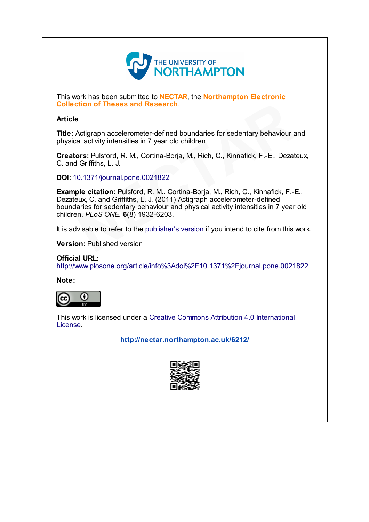

This work has been submitted to NECTAR, the Northampton Electronic Collection of Theses and Research.

# Article

Title: Actigraph accelerometer-defined boundaries for sedentary behaviour and physical activity intensities in 7 year old children

Creators: Pulsford, R. M., Cortina-Borja, M., Rich, C., Kinnafick, F.-E., Dezateux, C. and Griffiths, L. J.

DOI: 10.1371/journal.pone.0021822

Example citation: Pulsford, R. M., Cortina-Borja, M., Rich, C., Kinnafick, F.-E., Dezateux, C. and Griffiths, L. J. (2011) Actigraph accelerometer-defined boundaries for sedentary behaviour and physical activity intensities in 7 year old children. PLoS ONE. 6(8) 1932-6203. **absolute Theses and Research.**<br> **a**<br> **Actigraph accelerometer-defined boundaries for sedentary behaviour a<br>
al activity intensities in 7 year old children<br>
<b>ors:** Pulsford, R. M., Cortina-Borja, M., Rich, C., Kinnafick, F

It is advisable to refer to the publisher's version if you intend to cite from this work.

Version: Published version

Official URL: <http://www.plosone.org/article/info%3Adoi%2F10.1371%2Fjournal.pone.0021822>

[Note:](http://creativecommons.org/licenses/by/4.0/)



This work is licensed under a Creative Commons Attribution 4.0 [International](http://creativecommons.org/licenses/by/4.0/) License.

<http://nectar.northampton.ac.uk/6212/>

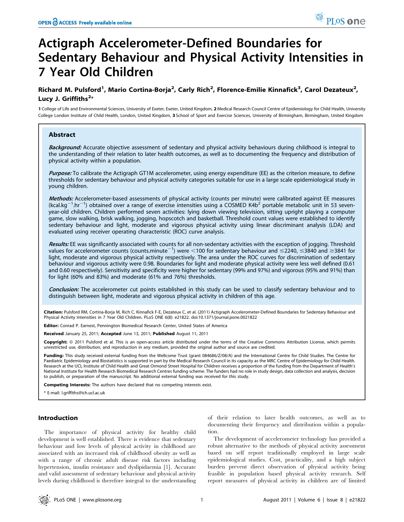# Actigraph Accelerometer-Defined Boundaries for Sedentary Behaviour and Physical Activity Intensities in 7 Year Old Children

# Richard M. Pulsford<sup>1</sup>, Mario Cortina-Borja<sup>2</sup>, Carly Rich<sup>2</sup>, Florence-Emilie Kinnafick<sup>3</sup>, Carol Dezateux<sup>2</sup>, Lucy J. Griffiths<sup>2</sup>\*

1 College of Life and Environmental Sciences, University of Exeter, Exeter, United Kingdom, 2 Medical Research Council Centre of Epidemiology for Child Health, University College London Institute of Child Health, London, United Kingdom, 3 School of Sport and Exercise Sciences, University of Birmingham, Birmingham, United Kingdom

# Abstract

Background: Accurate objective assessment of sedentary and physical activity behaviours during childhood is integral to the understanding of their relation to later health outcomes, as well as to documenting the frequency and distribution of physical activity within a population.

Purpose: To calibrate the Actigraph GT1M accelerometer, using energy expenditure (EE) as the criterion measure, to define thresholds for sedentary behaviour and physical activity categories suitable for use in a large scale epidemiological study in young children.

Methods: Accelerometer-based assessments of physical activity (counts per minute) were calibrated against EE measures (kcal.kg $^{-1}$ .hr $^{-1}$ ) obtained over a range of exercise intensities using a COSMED K4b<sup>2</sup> portable metabolic unit in 53 sevenyear-old children. Children performed seven activities: lying down viewing television, sitting upright playing a computer game, slow walking, brisk walking, jogging, hopscotch and basketball. Threshold count values were established to identify sedentary behaviour and light, moderate and vigorous physical activity using linear discriminant analysis (LDA) and evaluated using receiver operating characteristic (ROC) curve analysis.

Results: EE was significantly associated with counts for all non-sedentary activities with the exception of jogging. Threshold values for accelerometer counts (counts.minute<sup>-1</sup>) were <100 for sedentary behaviour and  $\leq$ 2240,  $\leq$ 3840 and  $\geq$ 3841 for light, moderate and vigorous physical activity respectively. The area under the ROC curves for discrimination of sedentary behaviour and vigorous activity were 0.98. Boundaries for light and moderate physical activity were less well defined (0.61 and 0.60 respectively). Sensitivity and specificity were higher for sedentary (99% and 97%) and vigorous (95% and 91%) than for light (60% and 83%) and moderate (61% and 76%) thresholds.

Conclusion: The accelerometer cut points established in this study can be used to classify sedentary behaviour and to distinguish between light, moderate and vigorous physical activity in children of this age.

Citation: Pulsford RM, Cortina-Borja M, Rich C, Kinnafick F-E, Dezateux C, et al. (2011) Actigraph Accelerometer-Defined Boundaries for Sedentary Behaviour and Physical Activity Intensities in 7 Year Old Children. PLoS ONE 6(8): e21822. doi:10.1371/journal.pone.0021822

Editor: Conrad P. Earnest, Pennington Biomedical Research Center, United States of America

Received January 25, 2011; Accepted June 13, 2011; Published August 11, 2011

**Copyright:** © 2011 Pulsford et al. This is an open-access article distributed under the terms of the Creative Commons Attribution License, which permits unrestricted use, distribution, and reproduction in any medium, provided the original author and source are credited.

**Funding:** This study received external funding from the Wellcome Trust (grant 084686/Z/08/A) and the International Centre for Child Studies. The Centre for<br>Paediatric Epidemiology and Biostatistics is supported in part by Research at the UCL Institute of Child Health and Great Ormond Street Hospital for Children receives a proportion of the funding from the Department of Health's National Institute for Health Research Biomedical Research Centres funding scheme. The funders had no role in study design, data collection and analysis, decision to publish, or preparation of the manuscript. No additional external funding was received for this study.

Competing Interests: The authors have declared that no competing interests exist.

\* E-mail: l.griffiths@ich.ucl.ac.uk

### Introduction

The importance of physical activity for healthy child development is well established. There is evidence that sedentary behaviour and low levels of physical activity in childhood are associated with an increased risk of childhood obesity as well as with a range of chronic adult disease risk factors including hypertension, insulin resistance and dyslipidaemia [1]. Accurate and valid assessment of sedentary behaviour and physical activity levels during childhood is therefore integral to the understanding

of their relation to later health outcomes, as well as to documenting their frequency and distribution within a population.

The development of accelerometer technology has provided a robust alternative to the methods of physical activity assessment based on self report traditionally employed in large scale epidemiological studies. Cost, practicality, and a high subject burden prevent direct observation of physical activity being feasible in population based physical activity research. Self report measures of physical activity in children are of limited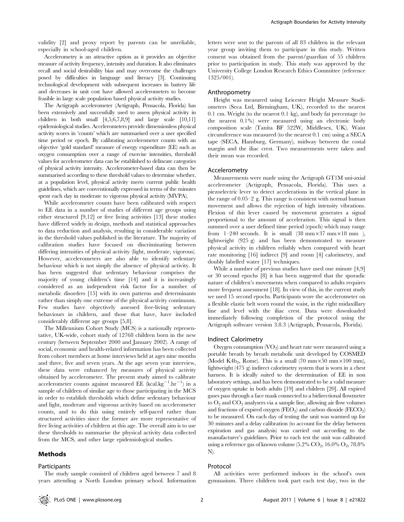validity [2] and proxy report by parents can be unreliable, especially in school-aged children.

Accelerometry is an attractive option as it provides an objective measure of activity frequency, intensity and duration. It also eliminates recall and social desirability bias and may overcome the challenges posed by difficulties in language and literacy [3]. Continuing technological development with subsequent increases in battery life and decreases in unit cost have allowed accelerometers to become feasible in large scale population based physical activity studies.

The Actigraph accelerometer (Actigraph, Pensacola, Florida) has been extensively and successfully used to assess physical activity in children in both small [4,5,6,7,8,9] and large scale [10,11] epidemiological studies. Accelerometers provide dimensionless physical activity scores in 'counts' which are summarised over a user specified time period or epoch. By calibrating accelerometer counts with an objective 'gold standard' measure of energy expenditure (EE) such as oxygen consumption over a range of exercise intensities, threshold values for accelerometer data can be established to delineate categories of physical activity intensity. Accelerometer-based data can then be summarised according to these threshold values to determine whether, at a population level, physical activity meets current public health guidelines, which are conventionally expressed in terms of the minutes spent each day in moderate to vigorous physical activity (MVPA).

While accelerometer counts have been calibrated with respect to EE data in a number of studies of different age groups using either structured [9,12] or free living activities [13] these studies have differed widely in design, methods and statistical approaches to data reduction and analysis, resulting in considerable variation in the threshold values published in the literature. The majority of calibration studies have focused on discriminating between differing intensities of physical activity (light, moderate, vigorous). However, accelerometers are also able to identify sedentary behaviour which is not simply the absence of physical activity. It has been suggested that sedentary behaviour comprises the majority of young children's time [14] and it is increasingly considered as an independent risk factor for a number of metabolic disorders [15] with its own patterns and determinants rather than simply one extreme of the physical activity continuum. Few studies have objectively assessed free-living sedentary behaviours in children, and those that have, have included considerably different age groups [5,8].

The Millennium Cohort Study (MCS) is a nationally representative, UK-wide, cohort study of 12768 children born in the new century (between September 2000 and January 2002). A range of social, economic and health-related information has been collected from cohort members at home interviews held at ages nine months and three, five and seven years. At the age seven year interview, these data were enhanced by measures of physical activity obtained by accelerometer. The present study aimed to calibrate accelerometer counts against measured EE (kcal.kg<sup>-1</sup>.hr<sup>-1</sup>) in a sample of children of similar age to those participating in the MCS in order to establish thresholds which define sedentary behaviour and light, moderate and vigorous activity based on accelerometer counts, and to do this using entirely self-paced rather than structured activities since the former are more representative of free living activities of children at this age. The overall aim is to use these thresholds to summarise the physical activity data collected from the MCS, and other large epidemiological studies.

# Methods

#### **Participants**

letters were sent to the parents of all 83 children in the relevant year group inviting them to participate in this study. Written consent was obtained from the parent/guardian of 55 children prior to participation in study. This study was approved by the University College London Research Ethics Committee (reference 1325/001).

## Anthropometry

Height was measured using Leicester Height Measure Stadiometers (Seca Ltd, Birmingham, UK), recorded to the nearest 0.1 cm. Weight (to the nearest 0.1 kg), and body fat percentage (to the nearest 0.1%) were measured using an electronic body composition scale (Tanita BF 522W, Middlesex, UK). Waist circumference was measured (to the nearest 0.1 cm) using a SECA tape (SECA, Hamburg, Germany), midway between the costal margin and the iliac crest. Two measurements were taken and their mean was recorded.

#### Accelerometry

Measurements were made using the Actigraph GT1M uni-axial accelerometer (Actigraph, Pensacola, Florida). This uses a piezoelectric lever to detect accelerations in the vertical plane in the range of 0.05–2 g. This range is consistent with normal human movement and allows the rejection of high intensity vibrations. Flexion of this lever caused by movement generates a signal proportional to the amount of acceleration. This signal is then summed over a user defined time period (epoch) which may range from  $1-240$  seconds. It is small  $(38 \text{ mm} \times 37 \text{ mm} \times 18 \text{ mm})$ , lightweight (925 g) and has been demonstrated to measure physical activity in children reliably when compared with heart rate monitoring [16] indirect [9] and room [4] calorimetry, and doubly labelled water [17] techniques.

While a number of previous studies have used one minute [4,9] or 30 second epochs [8] it has been suggested that the sporadic nature of children's movements when compared to adults requires more frequent assessment [18]. In view of this, in the current study we used 15 second epochs. Participants wore the accelerometer on a flexible elastic belt worn round the waist, in the right midaxillary line and level with the iliac crest. Data were downloaded immediately following completion of the protocol using the Actigraph software version 3.8.3 (Actigraph, Pensacola, Florida).

#### Indirect Calorimetry

Oxygen consumption  $(VO_2)$  and heart rate were measured using a portable breath by breath metabolic unit developed by COSMED (Model K4b<sub>2</sub>, Rome). This is a small (70 mm×50 mm×100 mm), lightweight (475 g) indirect calorimetry system that is worn in a chest harness. It is ideally suited to the determination of EE in non laboratory settings, and has been demonstrated to be a valid measure of oxygen uptake in both adults [19] and children [20]. All expired gases pass through a face mask connected to a bidirectional flowmeter to  $O_2$  and  $CO_2$  analysers via a sample line, allowing air flow volumes and fractions of expired oxygen  $(FEO_2)$  and carbon dioxide  $(FEO_2)$ to be measured. On each day of testing the unit was warmed up for 30 minutes and a delay calibration (to account for the delay between expiration and gas analysis) was carried out according to the manufacturer's guidelines. Prior to each test the unit was calibrated using a reference gas of known volume  $(5.2\% \text{ CO}_2, 16.0\% \text{ O}_2, 78.8\%$ N).

#### Protocol

The study sample consisted of children aged between 7 and 8 years attending a North London primary school. Information

All activities were performed indoors in the school's own gymnasium. Three children took part each test day, two in the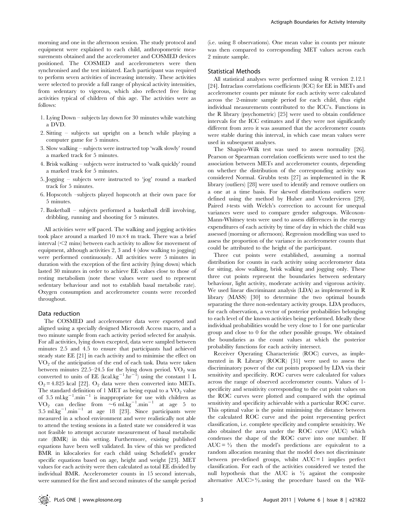morning and one in the afternoon session. The study protocol and equipment were explained to each child, anthropometric measurements obtained and the accelerometer and COSMED devices positioned. The COSMED and accelerometers were then synchronised and the test initiated. Each participant was required to perform seven activities of increasing intensity. These activities were selected to provide a full range of physical activity intensities, from sedentary to vigorous, which also reflected free living activities typical of children of this age. The activities were as follows:

- 1. Lying Down subjects lay down for 30 minutes while watching a DVD.
- 2. Sitting subjects sat upright on a bench while playing a computer game for 5 minutes.
- 3. Slow walking subjects were instructed top 'walk slowly' round a marked track for 5 minutes.
- 4. Brisk walking subjects were instructed to 'walk quickly' round a marked track for 5 minutes.
- 5. Jogging subjects were instructed to 'jog' round a marked track for 5 minutes.
- 6. Hopscotch –subjects played hopscotch at their own pace for 5 minutes.
- 7. Basketball subjects performed a basketball drill involving, dribbling, running and shooting for 5 minutes.

All activities were self paced. The walking and jogging activities took place around a marked  $10 \text{ m} \times 4 \text{ m}$  track. There was a brief interval  $\leq$  mins) between each activity to allow for movement of equipment, although activities 2, 3 and 4 (slow walking to jogging) were performed continuously. All activities were 5 minutes in duration with the exception of the first activity (lying down) which lasted 30 minutes in order to achieve EE values close to those of resting metabolism (note these values were used to represent sedentary behaviour and not to establish basal metabolic rate). Oxygen consumption and accelerometer counts were recorded throughout.

# Data reduction

The COSMED and accelerometer data were exported and aligned using a specially designed Microsoft Access macro, and a two minute sample from each activity period selected for analysis. For all activities, lying down excepted, data were sampled between minutes 2.5 and 4.5 to ensure that participants had achieved steady state EE [21] in each activity and to minimise the effect on  $VO<sub>2</sub>$  of the anticipation of the end of each task. Data were taken between minutes  $22.5-24.5$  for the lying down period.  $VO<sub>2</sub>$  was converted to units of EE (kcal.kg<sup>-1</sup>.hr<sup>-1</sup>) using the constant 1 L  $O_2$  = 4.825 kcal [22].  $O_2$  data were then converted into METs. The standard definition of 1 MET as being equal to a  $VO<sub>2</sub>$  value of 3.5 ml.kg<sup>-1</sup>.min<sup>-1</sup> is inappropriate for use with children as  $VO_2$  can decline from  $\sim 6 \text{ ml}$ .kg<sup>-1</sup>.min<sup>-1</sup> at age 5 to  $3.5 \text{ ml}.\text{kg}^{-1}.\text{min}^{-1}$  at age 18 [23]. Since participants were measured in a school environment and were realistically not able to attend the testing sessions in a fasted state we considered it was not feasible to attempt accurate measurement of basal metabolic rate (BMR) in this setting. Furthermore, existing published equations have been well validated. In view of this we predicted BMR in kilocalories for each child using Schofield's gender specific equations based on age, height and weight [23]. MET values for each activity were then calculated as total EE divided by individual BMR. Accelerometer counts in 15 second intervals, were summed for the first and second minutes of the sample period (i.e. using 8 observations). One mean value in counts per minute was then compared to corresponding MET values across each 2 minute sample.

## Statistical Methods

All statistical analyses were performed using R version 2.12.1 [24]. Intraclass correlations coefficients (ICC) for EE in METs and accelerometer counts per minute for each activity were calculated across the 2-minute sample period for each child, thus eight individual measurements contributed to the ICC's. Functions in the R library (psychometric) [25] were used to obtain confidence intervals for the ICC estimates and if they were not significantly different from zero it was assumed that the accelerometer counts were stable during this interval, in which case mean values were used in subsequent analyses.

The Shapiro-Wilk test was used to assess normality [26]. Pearson or Spearman correlation coefficients were used to test the association between METs and accelerometer counts, depending on whether the distribution of the corresponding activity was considered Normal. Grubbs tests [27] as implemented in the R library (outliers) [28] were used to identify and remove outliers on a one at a time basis. For skewed distributions outliers were defined using the method by Huber and Vendervieren [29]. Paired *t*-tests with Welch's correction to account for unequal variances were used to compare gender subgroups. Wilcoxon-Mann-Whitney tests were used to assess differences in the energy expenditures of each activity by time of day in which the child was assessed (morning or afternoon). Regression modelling was used to assess the proportion of the variance in accelerometer counts that could be attributed to the height of the participant.

Three cut points were established, assuming a normal distribution for counts in each activity using accelerometer data for sitting, slow walking, brisk walking and jogging only. These three cut points represent the boundaries between sedentary behaviour, light activity, moderate activity and vigorous activity. We used linear discriminant analysis (LDA) as implemented in R library (MASS) [30] to determine the two optimal bounds separating the three non-sedentary activity groups. LDA produces, for each observation, a vector of posterior probabilities belonging to each level of the known activities being performed. Ideally these individual probabilities would be very close to 1 for one particular group and close to 0 for the other possible groups. We obtained the boundaries as the count values at which the posterior probability functions for each activity intersect.

Receiver Operating Characteristic (ROC) curves, as implemented in R Library (ROCR) [31] were used to assess the discriminatory power of the cut points proposed by LDA via their sensitivity and specificity. ROC curves were calculated for values across the range of observed accelerometer counts. Values of 1 specificity and sensitivity corresponding to the cut point values on the ROC curves were plotted and compared with the optimal sensitivity and specificity achievable with a particular ROC curve. This optimal value is the point minimising the distance between the calculated ROC curve and the point representing perfect classification, i.e. complete specificity and complete sensitivity. We also obtained the area under the ROC curve (AUC) which condenses the shape of the ROC curve into one number. If AUC =  $\frac{1}{2}$  then the model's predictions are equivalent to a random allocation meaning that the model does not discriminate between pre-defined groups, whilst AUC = 1 implies perfect classification. For each of the activities considered we tested the null hypothesis that the AUC is  $\frac{1}{2}$  against the composite alternative  $AUC > \frac{1}{2}$  using the procedure based on the Wil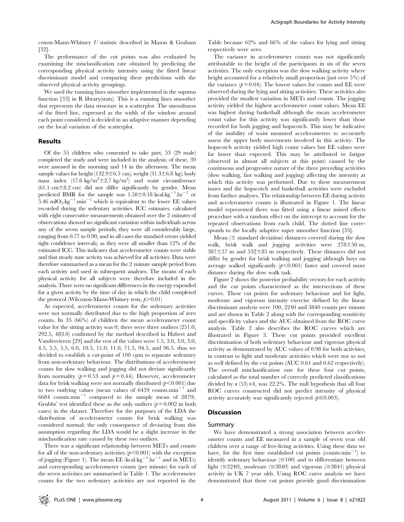coxon-Mann-Whitney U statistic described in Mason & Graham [32].

The performance of the cut points was also evaluated by examining the misclassification rate obtained by predicting the corresponding physical activity intensity using the fitted linear discriminant model and comparing these predictions with the observed physical activity groupings.

We used the running lines smoother implemented in the supsmu function [33] in R library(stats). This is a running lines smoother that represents the data structure in a scatterplot. The smoothness of the fitted line, expressed as the width of the window around each point considered is decided in an adaptive manner depending on the local variation of the scatterplot.

#### Results

Of the 55 children who consented to take part, 53 (29 male) completed the study and were included in the analysis; of these, 39 were assessed in the morning and 14 in the afternoon. The mean sample values for height  $(132.9 \pm 6.5 \text{ cm})$ , weight  $(31.3 \pm 6.8 \text{ kg})$ , body mass index  $(17.6 \text{ kg/m}^2 \pm 2.7 \text{ kg/m}^2)$  and waist circumference  $(61.1 \text{ cm} \pm 8.2 \text{ cm})$  did not differ significantly by gender. Mean predicted BMR for the sample was  $1.58 \pm 0.18$  kcal.kg<sup>-1</sup>.hr<sup>-1</sup> or  $5.46 \text{ mIO}_2 \text{.kg}^{-1} \text{.min}^{-1}$  which is equivalent to the lower EE values recorded during the sedentary activities. ICC estimates, calculated with eight consecutive measurements obtained over the 2 minutes of observations showed no significant variation within individuals across any of the seven sample periods; they were all considerably large, ranging from 0.77 to 0.90, and in all cases the standard errors yielded tight confidence intervals; as they were all smaller than 12% of the estimated ICC. This indicates that accelerometer counts were stable and that steady state activity was achieved for all activities. Data were therefore summarised as a mean for the 2 minute sample period from each activity and used in subsequent analyses. The means of each physical activity for all subjects were therefore included in the analysis. There were no significant differences in the energy expended for a given activity by the time of day in which the child completed the protocol (Wilcoxon-Mann-Whitney tests,  $p$ >0.01)

As expected, accelerometer counts for the sedentary activities were not normally distributed due to the high proportion of zero counts. In 35 (66%) of children the mean accelerometer count value for the sitting activity was 0; there were three outliers (251.0, 292.5, 483.0) confirmed by the method described in Hubert and Vandervieren [29] and the rest of the values were 1.5, 3.0, 3.0, 3.0, 4.5, 5.5, 5.5, 6.0, 10.5, 11.0, 11.0, 71.5, 94.5, and 96.5. thus we decided to establish a cut-point of 100 cpm to separate sedentary from non-sedentary behaviour. The distributions of accelerometer counts for slow walking and jogging did not deviate significantly from normality ( $p = 0.53$  and  $p = 0.44$ ). However, accelerometer data for brisk walking were not normally distributed  $(p<0.001)$  due to two outlying values (mean values of  $6459$  counts.min<sup>-1</sup> and 6684 counts. $min^{-1}$  compared to the sample mean of 2879). Grubbs' test identified these as the only outliers  $(p=0.002$  in both cases) in the dataset. Therefore for the purposes of the LDA the distribution of accelerometer counts for brisk walking was considered normal; the only consequence of deviating from this assumption regarding the LDA would be a slight increase in the misclassification rate caused by these two outliers.

There was a significant relationship between METs and counts for all of the non-sedentary activities  $\left(p\text{<}0.001\right)$  with the exception of jogging (Figure 1). The mean EE (kcal.kg<sup>-1</sup>.hr<sup>-1</sup> and in METs) and corresponding accelerometer counts (per minute) for each of the seven activities are summarised in Table 1. The accelerometer counts for the two sedentary activities are not reported in the

Table because 62% and 66% of the values for lying and sitting respectively were zero.

The variance in accelerometer counts was not significantly attributable to the height of the participants in six of the seven activities. The only exception was the slow walking activity where height accounted for a relatively small proportion (just over 5%) of the variance ( $p = 0.04$ ). The lowest values for counts and EE were observed during the lying and sitting activities. These activities also provided the smallest variation in METs and counts. The jogging activity yielded the highest accelerometer count values. Mean EE was highest during basketball although the mean accelerometer count value for this activity was significantly lower than those recorded for both jogging and hopscotch. This may be indicative of the inability of waist mounted accelerometers to accurately assess the upper body movements involved in this activity. The hopscotch activity yielded high count values but EE values were far lower than expected. This may be attributed to fatigue (observed in almost all subjects at this point) caused by the continuous and progressive nature of the three preceding activities (slow walking, fast walking and jogging) affecting the intensity at which this activity was performed. Due to these measurement issues and the hopscotch and basketball activities were excluded from further analyses. The relationship between EE during activity and accelerometer counts is illustrated in Figure 1. The linear model represented there was fitted using a linear mixed effects procedure with a random effect on the intercept to account for the repeated observations from each child. The dotted line corresponds to the locally adaptive super smoother function [33].

Mean  $(\pm)$  standard deviation) distances covered during the slow walk, brisk walk and jogging activities were  $278 \pm 50$  m,  $387\pm57$  m and  $532\pm85$  m respectively. These distances did not differ by gender for brisk walking and jogging although boys on average walked significantly  $(p<0.001)$  faster and covered more distance during the slow walk task.

Figure 2 shows the posterior probability vectors for each activity and the cut points characterised as the intersections of these curves. These cut points for sedentary behaviour and for light, moderate and vigorous intensity exercise defined by the linear discriminant analysis were 100, 2240 and 3840 counts per minute and are shown in Table 2 along with the corresponding sensitivity and specificity values and the AUC obtained from the ROC curve analysis. Table 2 also describes the ROC curves which are illustrated in Figure 3. These cut points provided excellent discrimination of both sedentary behaviour and vigorous physical activity as demonstrated by AUC values of 0.98 for both activities, in contrast to light and moderate activities which were not so not as well defined by the cut points (AUC 0.61 and 0.62 respectively). The overall misclassification rate for these four cut points, calculated as the total number of correctly predicted classifications divided by  $n(53) \times 4$ , was 22.2%. The null hypothesis that all four ROC curves constructed did not predict intensity of physical activity accurately was significantly rejected  $(p \le 0.003)$ .

#### Discussion

#### Summary

We have demonstrated a strong association between accelerometer counts and EE measured in a sample of seven year old children over a range of free-living activities. Using these data we have, for the first time established cut points (counts.min<sup>-1</sup>) to identify sedentary behaviour  $(\leq 100)$  and to differentiate between light ( $\leq$ 2240), moderate ( $\leq$ 3840) and vigorous ( $\geq$ 3841) physical activity in UK 7 year olds. Using ROC curve analysis we have demonstrated that these cut points provide good discrimination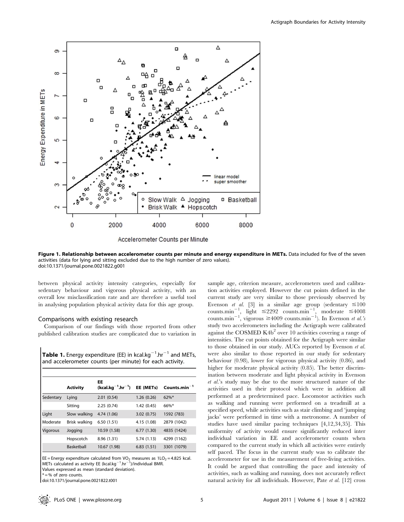

Accelerometer Counts per Minute

Figure 1. Relationship between accelerometer counts per minute and energy expenditure in METs. Data included for five of the seven activities (data for lying and sitting excluded due to the high number of zero values). doi:10.1371/journal.pone.0021822.g001

between physical activity intensity categories, especially for sedentary behaviour and vigorous physical activity, with an overall low misclassification rate and are therefore a useful tool in analysing population physical activity data for this age group.

#### Comparisons with existing research

Comparison of our findings with those reported from other published calibration studies are complicated due to variation in

**Table 1.** Energy expenditure (EE) in kcal.kg<sup>-1</sup>.hr<sup>-1</sup> and METs, and accelerometer counts (per minute) for each activity.

|           | <b>Activity</b>   | EE<br>$(kcal.kq^{-1}.hr^{-1})$ | EE (METs)   | $Counts.min-$ |
|-----------|-------------------|--------------------------------|-------------|---------------|
| Sedentary | Lying             | 2.01(0.54)                     | 1.26(0.26)  | $62\%$ *      |
|           | Sitting           | 2.25(0.74)                     | 1.42 (0.45) | 66%*          |
| Light     | Slow walking      | 4.74 (1.06)                    | 3.02(0.75)  | 1592 (783)    |
| Moderate  | Brisk walking     | 6.50(1.51)                     | 4.15 (1.08) | 2879 (1042)   |
| Vigorous  | Jogging           | 10.59 (1.58)                   | 6.77(1.30)  | 4835 (1424)   |
|           | Hopscotch         | 8.96 (1.31)                    | 5.74 (1.13) | 4299 (1162)   |
|           | <b>Basketball</b> | 10.67 (1.98)                   | 6.83(1.51)  | 3301 (1079)   |

EE = Energy expenditure calculated from  $VO<sub>2</sub>$  measures as  $1LO<sub>2</sub> = 4.825$  kcal. METs calculated as activity EE (kcal.kg<sup>-1</sup>.hr<sup>-1</sup>)/individual BMR. Values expressed as mean (standard deviation).

 $=$  % of zero counts.

doi:10.1371/journal.pone.0021822.t001

sample age, criterion measure, accelerometers used and calibration activities employed. However the cut points defined in the current study are very similar to those previously observed by Evenson et al. [3] in a similar age group (sedentary  $\leq 100$ counts.min<sup>-1</sup>, light  $\leq$ 2292 counts.min<sup>-1</sup>, moderate  $\leq$ 4008 counts.min<sup>-1</sup>, vigorous  $\geq 4009$  counts.min<sup>-1</sup>). In Evenson et al.'s study two accelerometers including the Actigraph were calibrated against the COSMED  $K4b<sup>2</sup>$  over 10 activities covering a range of intensities. The cut points obtained for the Actigraph were similar to those obtained in our study. AUCs reported by Evenson et al. were also similar to those reported in our study for sedentary behaviour (0.98), lower for vigorous physical activity (0.86), and higher for moderate physical activity (0.85). The better discrimination between moderate and light physical activity in Evenson et al.'s study may be due to the more structured nature of the activities used in their protocol which were in addition all performed at a predetermined pace. Locomotor activities such as walking and running were performed on a treadmill at a specified speed, while activities such as stair climbing and 'jumping jacks' were performed in time with a metronome. A number of studies have used similar pacing techniques [4,12,34,35]. This uniformity of activity would ensure significantly reduced inter individual variation in EE and accelerometer counts when compared to the current study in which all activities were entirely self paced. The focus in the current study was to calibrate the accelerometer for use in the measurement of free-living activities. It could be argued that controlling the pace and intensity of activities, such as walking and running, does not accurately reflect natural activity for all individuals. However, Pate et al. [12] cross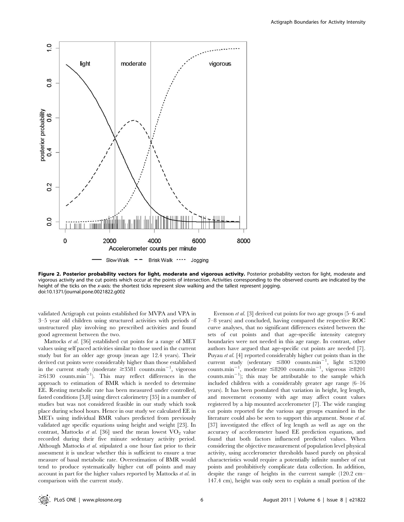

Figure 2. Posterior probability vectors for light, moderate and vigorous activity. Posterior probability vectors for light, moderate and vigorous activity and the cut points which occur at the points of intersection. Activities corresponding to the observed counts are indicated by the height of the ticks on the x-axis: the shortest ticks represent slow walking and the tallest represent jogging. doi:10.1371/journal.pone.0021822.g002

validated Actigraph cut points established for MVPA and VPA in 3–5 year old children using structured activities with periods of unstructured play involving no prescribed activities and found good agreement between the two.

Mattocks et al. [36] established cut points for a range of MET values using self paced activities similar to those used in the current study but for an older age group (mean age 12.4 years). Their derived cut points were considerably higher than those established in the current study (moderate  $\geq 3581$  counts.min<sup>-1</sup>, vigorous  $\geq 6130$  counts.min<sup>-1</sup>). This may reflect differences in the approach to estimation of BMR which is needed to determine EE. Resting metabolic rate has been measured under controlled, fasted conditions [3,8] using direct calorimetry [35] in a number of studies but was not considered feasible in our study which took place during school hours. Hence in our study we calculated EE in METs using individual BMR values predicted from previously validated age specific equations using height and weight [23]. In contrast, Mattocks et al. [36] used the mean lowest  $VO_2$  value recorded during their five minute sedentary activity period. Although Mattocks et al. stipulated a one hour fast prior to their assessment it is unclear whether this is sufficient to ensure a true measure of basal metabolic rate. Overestimation of BMR would tend to produce systematically higher cut off points and may account in part for the higher values reported by Mattocks et al. in comparison with the current study.

Evenson et al. [3] derived cut points for two age groups (5–6 and 7–8 years) and concluded, having compared the respective ROC curve analyses, that no significant differences existed between the sets of cut points and that age-specific intensity category boundaries were not needed in this age range. In contrast, other authors have argued that age-specific cut points are needed [7]. Puyau et al. [4] reported considerably higher cut points than in the current study (sedentary  $\leq 800$  counts.min<sup>-1</sup>, light  $\leq 3200$ counts.min<sup>-1</sup>, moderate  $\leq 8200$  counts.min<sup>-1</sup>, vigorous  $\geq 8201$ counts.min<sup>-1</sup>); this may be attributable to the sample which included children with a considerably greater age range (6–16 years). It has been postulated that variation in height, leg length, and movement economy with age may affect count values registered by a hip mounted accelerometer [7]. The wide ranging cut points reported for the various age groups examined in the literature could also be seen to support this argument. Stone et al. [37] investigated the effect of leg length as well as age on the accuracy of accelerometer based EE prediction equations, and found that both factors influenced predicted values. When considering the objective measurement of population level physical activity, using accelerometer thresholds based purely on physical characteristics would require a potentially infinite number of cut points and prohibitively complicate data collection. In addition, despite the range of heights in the current sample (120.2 cm– 147.4 cm), height was only seen to explain a small portion of the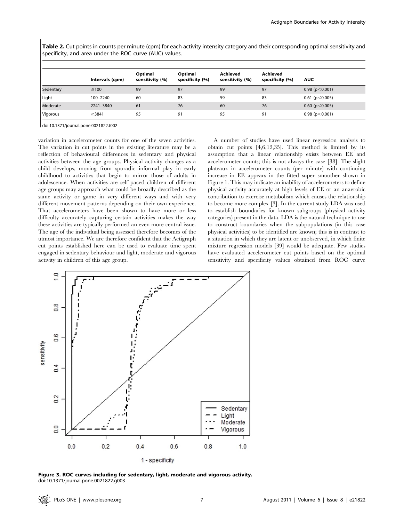Table 2. Cut points in counts per minute (cpm) for each activity intensity category and their corresponding optimal sensitivity and specificity, and area under the ROC curve (AUC) values.

|           | Intervals (cpm) | Optimal<br>sensitivity (%) | Optimal<br>specificity (%) | Achieved<br>sensitivity (%) | Achieved<br>specificity (%) | <b>AUC</b>            |
|-----------|-----------------|----------------------------|----------------------------|-----------------------------|-----------------------------|-----------------------|
| Sedentary | $\leq 100$      | 99                         | 97                         | 99                          | 97                          | $0.98$ (p $< 0.001$ ) |
| Light     | 100-2240        | 60                         | 83                         | 59                          | 83                          | $0.61$ (p $< 0.005$ ) |
| Moderate  | 2241-3840       | 61                         | 76                         | 60                          | 76                          | $0.60$ (p $< 0.005$ ) |
| Vigorous  | $\geq$ 3841     | 95                         | 91                         | 95                          | 91                          | $0.98$ (p $< 0.001$ ) |

doi:10.1371/journal.pone.0021822.t002

variation in accelerometer counts for one of the seven activities. The variation in cut points in the existing literature may be a reflection of behavioural differences in sedentary and physical activities between the age groups. Physical activity changes as a child develops, moving from sporadic informal play in early childhood to activities that begin to mirror those of adults in adolescence. When activities are self paced children of different age groups may approach what could be broadly described as the same activity or game in very different ways and with very different movement patterns depending on their own experience. That accelerometers have been shown to have more or less difficulty accurately capturing certain activities makes the way these activities are typically performed an even more central issue. The age of the individual being assessed therefore becomes of the utmost importance. We are therefore confident that the Actigraph cut points established here can be used to evaluate time spent engaged in sedentary behaviour and light, moderate and vigorous activity in children of this age group.

A number of studies have used linear regression analysis to obtain cut points [4,6,12,35]. This method is limited by its assumption that a linear relationship exists between EE and accelerometer counts; this is not always the case [38]. The slight plateaux in accelerometer counts (per minute) with continuing increase in EE appears in the fitted super smoother shown in Figure 1. This may indicate an inability of accelerometers to define physical activity accurately at high levels of EE or an anaerobic contribution to exercise metabolism which causes the relationship to become more complex [3]. In the current study LDA was used to establish boundaries for known subgroups (physical activity categories) present in the data. LDA is the natural technique to use to construct boundaries when the subpopulations (in this case physical activities) to be identified are known; this is in contrast to a situation in which they are latent or unobserved, in which finite mixture regression models [39] would be adequate. Few studies have evaluated accelerometer cut points based on the optimal sensitivity and specificity values obtained from ROC curve



Figure 3. ROC curves including for sedentary, light, moderate and vigorous activity. doi:10.1371/journal.pone.0021822.g003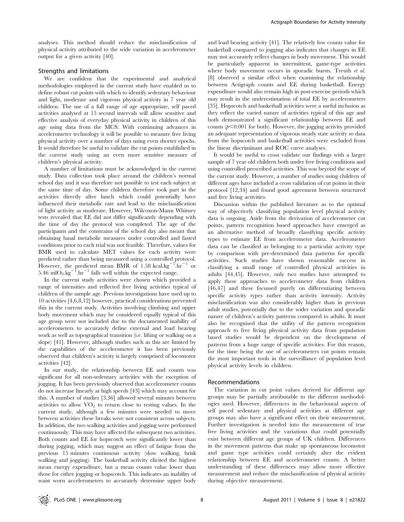analyses. This method should reduce the misclassification of physical activity attributed to the wide variation in accelerometer output for a given activity [40].

### Strengths and limitations

We are confident that the experimental and analytical methodologies employed in the current study have enabled us to define robust cut points with which to identify sedentary behaviour and light, moderate and vigorous physical activity in 7 year old children. The use of a full range of age appropriate, self paced activities analysed at 15 second intervals will allow sensitive and effective analysis of everyday physical activity in children of this age using data from the MCS. With continuing advances in accelerometer technology it will be possible to measure free living physical activity over a number of days using even shorter epochs. It would therefore be useful to validate the cut points established in the current study using an even more sensitive measure of children's physical activity.

A number of limitations must be acknowledged in the current study. Data collection took place around the children's normal school day and it was therefore not possible to test each subject at the same time of day. Some children therefore took part in the activities directly after lunch which could potentially have influenced their metabolic rate and lead to the misclassification of light activity as moderate. However, Wilcoxon-Mann Whitney tests revealed that EE did not differ significantly depending with the time of day the protocol was completed. The age of the participants and the constrains of the school day also meant that obtaining basal metabolic measures under controlled and fasted conditions prior to each trial was not feasible. Therefore, values for BMR used to calculate MET values for each activity were predicted rather than being measured using a controlled protocol. However, the predicted mean BMR of  $1.58$  kcal.kg<sup>-1</sup>.hr<sup>-1</sup> or 5.46 ml $O_2$ kg<sup>-1</sup>.hr<sup>-1</sup> falls well within the expected range.

In the current study activities were chosen which provided a range of intensities and reflected free living activities typical of children of the sample age. Previous investigations have used up to 10 activities [4,6,8,12] however, practical considerations prevented this in the current study. Activities involving climbing and upper body movement which may be considered equally typical of this age group were not included due to the documented inability of accelerometers to accurately define external and load bearing work as well as topographical transition (i.e. lifting or walking on a slope) [41]. However, although studies such as this are limited by the capabilities of the accelerometer it has been previously observed that children's activity is largely comprised of locomotor activities [42].

In our study, the relationship between EE and counts was significant for all non-sedentary activities with the exception of jogging. It has been previously observed that accelerometer counts do not increase linearly at high speeds [43] which may account for this. A number of studies [3,36] allowed several minutes between activities to allow  $VO<sub>2</sub>$  to return close to resting values. In the current study, although a few minutes were needed to move between activities these breaks were not consistent across subjects. In addition, the two walking activities and jogging were performed continuously. This may have affected the subsequent two activities. Both counts and EE for hopscotch were significantly lower than during jogging, which may suggest an effect of fatigue from the previous 15 minutes continuous activity (slow walking, brisk walking and jogging). The basketball activity elicited the highest mean energy expenditure, but a mean counts value lower than those for either jogging or hopscotch. This indicates an inability of waist worn accelerometers to accurately determine upper body and load bearing activity [41]. The relatively low counts value for basketball compared to jogging also indicates that changes in EE may not accurately reflect changes in body movement. This would be particularly apparent in intermittent, game-type activities where body movement occurs in sporadic bursts. Treuth et al. [8] observed a similar effect when examining the relationship between Actigraph counts and EE during basketball. Energy expenditure would also remain high in post-exercise periods which may result in the underestimation of total EE by accelerometers [35]. Hopscotch and basketball activities were a useful inclusion as they reflect the varied nature of activities typical of this age and both demonstrated a significant relationship between EE and counts  $(p<0.001$  for both). However, the jogging activity provided an adequate representation of vigorous steady state activity so data from the hopscotch and basketball activities were excluded from the linear discriminant and ROC curve analyses.

It would be useful to cross validate our findings with a larger sample of 7 year old children both under free living conditions and using controlled prescribed activities. This was beyond the scope of the current study. However, a number of studies using children of different ages have included a cross validation of cut points in their protocol [12,34] and found good agreement between structured and free living activities.

Discussion within the published literature as to the optimal way of objectively classifying population level physical activity data is ongoing. Aside from the derivation of accelerometer cut points, pattern recognition based approaches have emerged as an alternative method of broadly classifying specific activity types to estimate EE from accelerometer data. Accelerometer data can be classified as belonging to a particular activity type by comparison with pre-determined data patterns for specific activities. Such studies have shown reasonable success in classifying a small range of controlled physical activities in adults [44,45]. However, only two studies have attempted to apply these approaches to accelerometer data from children [46,47] and these focussed purely on differentiating between specific activity types rather than activity intensity. Activity misclassification was also considerably higher than in previous adult studies, potentially due to the wider variation and sporadic nature of children's activity patterns compared to adults. It must also be recognised that the utility of the pattern recognition approach to free living physical activity data from population based studies would be dependent on the development of patterns from a huge range of specific activities. For this reason, for the time being the use of accelerometers cut points remain the most important tools in the surveillance of population level physical activity levels in children.

#### Recommendations

The variation in cut point values derived for different age groups may be partially attributable to the different methodologies used. However, differences in the behavioural aspects of self paced sedentary and physical activities at different age groups may also have a significant effect on their measurement. Further investigation is needed into the measurement of true free living activities and the variations that could potentially exist between different age groups of UK children. Differences in the movement patterns that make up spontaneous locomotor and game type activities could certainly alter the evident relationship between EE and accelerometer counts. A better understanding of these differences may allow more effective measurement and reduce the misclassification of physical activity during objective measurement.